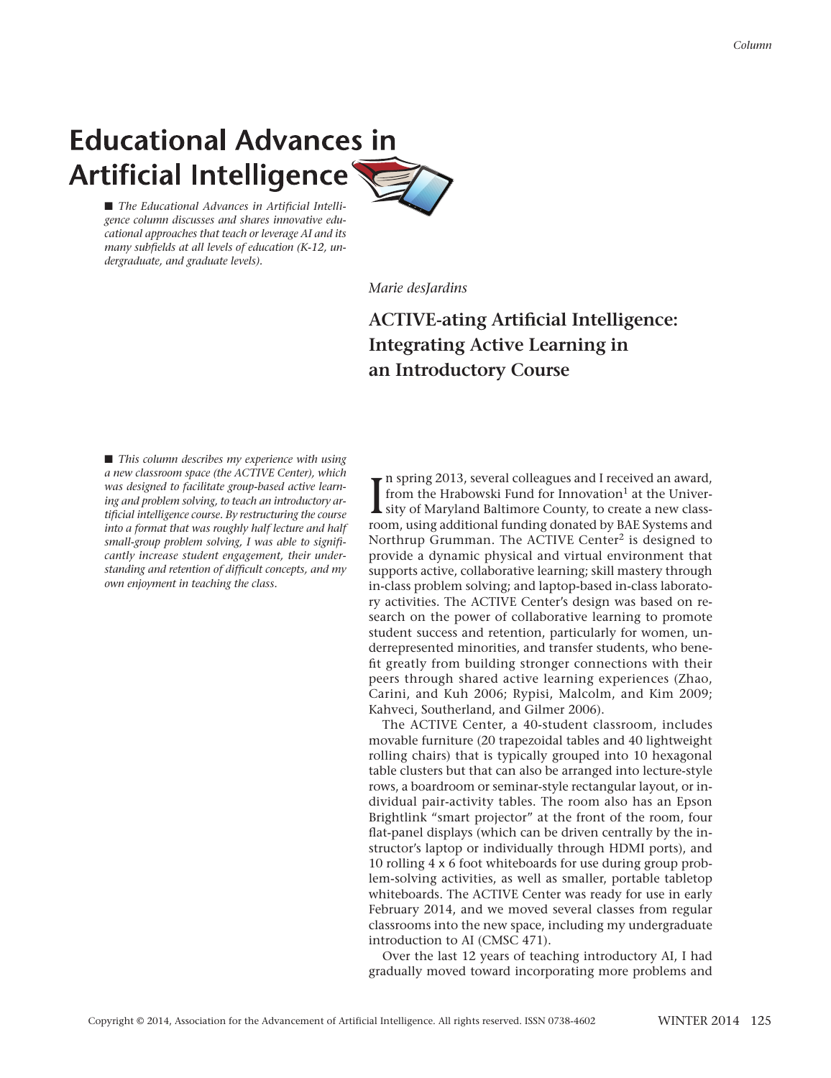# **Educational Advances in** Artificial Intelligence

■ The *Educational Advances in Artificial Intelligence column discusses and shares innovative educational approaches that teach or leverage AI and its many subfields at all levels of education (K-12, undergraduate, and graduate levels).*

*Marie desJardins*

# **ACTIVE-ating Artificial Intelligence: Integrating Active Learning in an Introductory Course**

■ *This column describes my experience with using a new classroom space (the ACTIVE Center), which was designed to facilitate group-based active learning and problem solving, to teach an introductory artificial intelligence course. By restructuring the course into a format that was roughly half lecture and half small-group problem solving, I was able to significantly increase student engagement, their understanding and retention of difficult concepts, and my own enjoyment in teaching the class.*

 $\prod_{\text{roc}}$ n spring 2013, several colleagues and I received an award, from the Hrabowski Fund for Innovation<sup>1</sup> at the University of Maryland Baltimore County, to create a new classroom, using additional funding donated by BAE Systems and Northrup Grumman. The ACTIVE Center<sup>2</sup> is designed to provide a dynamic physical and virtual environment that supports active, collaborative learning; skill mastery through in-class problem solving; and laptop-based in-class laboratory activities. The ACTIVE Center's design was based on research on the power of collaborative learning to promote student success and retention, particularly for women, underrepresented minorities, and transfer students, who benefit greatly from building stronger connections with their peers through shared active learning experiences (Zhao, Carini, and Kuh 2006; Rypisi, Malcolm, and Kim 2009; Kahveci, Southerland, and Gilmer 2006).

The ACTIVE Center, a 40-student classroom, includes movable furniture (20 trapezoidal tables and 40 lightweight rolling chairs) that is typically grouped into 10 hexagonal table clusters but that can also be arranged into lecture-style rows, a boardroom or seminar-style rectangular layout, or individual pair-activity tables. The room also has an Epson Brightlink "smart projector" at the front of the room, four flat-panel displays (which can be driven centrally by the instructor's laptop or individually through HDMI ports), and 10 rolling 4 x 6 foot whiteboards for use during group problem-solving activities, as well as smaller, portable tabletop whiteboards. The ACTIVE Center was ready for use in early February 2014, and we moved several classes from regular classrooms into the new space, including my undergraduate introduction to AI (CMSC 471).

Over the last 12 years of teaching introductory AI, I had gradually moved toward incorporating more problems and